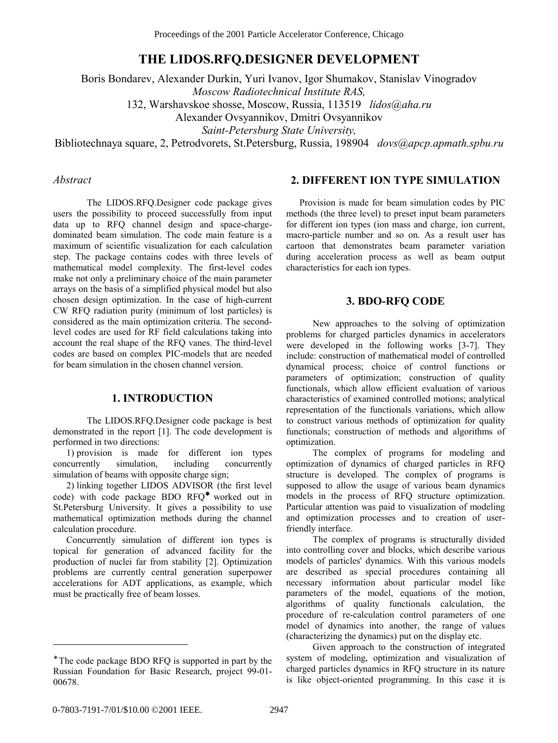# **THE LIDOS.RFQ.DESIGNER DEVELOPMENT**

Boris Bondarev, Alexander Durkin, Yuri Ivanov, Igor Shumakov, Stanislav Vinogradov *Moscow Radiotechnical Institute RAS,* 

132, Warshavskoe shosse, Moscow, Russia, 113519 *lidos@aha.ru* 

Alexander Ovsyannikov, Dmitri Ovsyannikov

*Saint-Petersburg State University,* 

Bibliotechnaya square, 2, Petrodvorets, St.Petersburg, Russia, 198904 *dovs@apcp.apmath.spbu.ru* 

#### *Abstract*

The LIDOS.RFQ.Designer code package gives users the possibility to proceed successfully from input data up to RFQ channel design and space-chargedominated beam simulation. The code main feature is a maximum of scientific visualization for each calculation step. The package contains codes with three levels of mathematical model complexity. The first-level codes make not only a preliminary choice of the main parameter arrays on the basis of a simplified physical model but also chosen design optimization. In the case of high-current CW RFQ radiation purity (minimum of lost particles) is considered as the main optimization criteria. The secondlevel codes are used for RF field calculations taking into account the real shape of the RFQ vanes. The third-level codes are based on complex PIC-models that are needed for beam simulation in the chosen channel version.

### **1. INTRODUCTION**

The LIDOS.RFQ.Designer code package is best demonstrated in the report [1]. The code development is performed in two directions:

1) provision is made for different ion types concurrently simulation, including concurrently simulation of beams with opposite charge sign;

2) linking together LIDOS ADVISOR (the first level code) with code package BDO RFQ<sup>∗</sup> worked out in St.Petersburg University. It gives a possibility to use mathematical optimization methods during the channel calculation procedure.

Concurrently simulation of different ion types is topical for generation of advanced facility for the production of nuclei far from stability [2]. Optimization problems are currently central generation superpower accelerations for ADT applications, as example, which must be practically free of beam losses.

### **2. DIFFERENT ION TYPE SIMULATION**

Provision is made for beam simulation codes by PIC methods (the three level) to preset input beam parameters for different ion types (ion mass and charge, ion current, macro-particle number and so on. As a result user has cartoon that demonstrates beam parameter variation during acceleration process as well as beam output characteristics for each ion types.

#### **3. BDO-RFQ CODE**

New approaches to the solving of optimization problems for charged particles dynamics in accelerators were developed in the following works [3-7]. They include: construction of mathematical model of controlled dynamical process; choice of control functions or parameters of optimization; construction of quality functionals, which allow efficient evaluation of various characteristics of examined controlled motions; analytical representation of the functionals variations, which allow to construct various methods of optimization for quality functionals; construction of methods and algorithms of optimization.

The complex of programs for modeling and optimization of dynamics of charged particles in RFQ structure is developed. The complex of programs is supposed to allow the usage of various beam dynamics models in the process of RFQ structure optimization. Particular attention was paid to visualization of modeling and optimization processes and to creation of userfriendly interface.

The complex of programs is structurally divided into controlling cover and blocks, which describe various models of particles' dynamics. With this various models are described as special procedures containing all necessary information about particular model like parameters of the model, equations of the motion, algorithms of quality functionals calculation, the procedure of re-calculation control parameters of one model of dynamics into another, the range of values (characterizing the dynamics) put on the display etc.

Given approach to the construction of integrated system of modeling, optimization and visualization of charged particles dynamics in RFQ structure in its nature is like object-oriented programming. In this case it is

 $\overline{a}$ 

<sup>∗</sup> The code package BDO RFQ is supported in part by the Russian Foundation for Basic Research, project 99-01- 00678.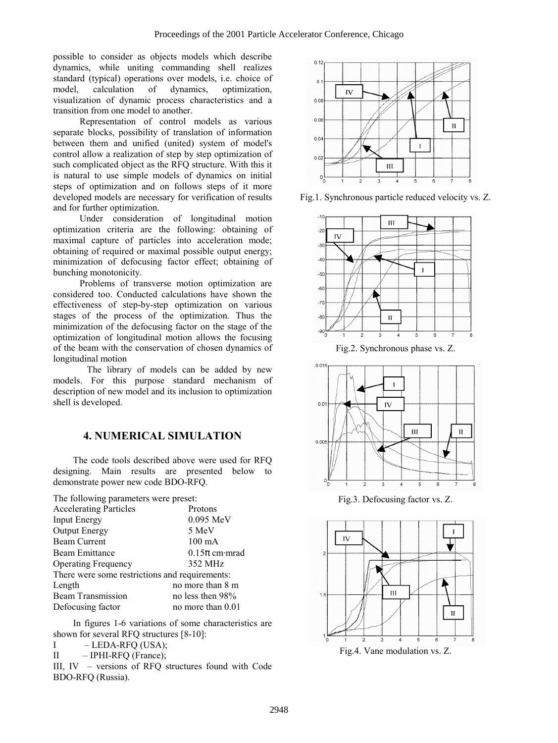possible to consider as objects models which describe dynamics, while uniting commanding shell realizes standard (typical) operations over models, i.e. choice of model, calculation of dynamics, optimization, visualization of dynamic process characteristics and a transition from one model to another.

Representation of control models as various separate blocks, possibility of translation of information between them and unified (united) system of model's control allow a realization of step by step optimization of such complicated object as the RFQ structure. With this it is natural to use simple models of dynamics on initial steps of optimization and on follows steps of it more developed models are necessary for verification of results and for further optimization. Under consideration of longitudinal motion

optimization criteria are the following: obtaining of maximal capture of particles into acceleration mode; obtaining of required or maximal possible output energy; minimization of defocusing factor effect; obtaining of bunching monotonicity.

Problems of transverse motion optimization are considered too. Conducted calculations have shown the effectiveness of step-by-step optimization on various stages of the process of the optimization. Thus the minimization of the defocusing factor on the stage of the optimization of longitudinal motion allows the focusing of the beam with the conservation of chosen dynamics of longitudinal motion

 The library of models can be added by new models. For this purpose standard mechanism of description of new model and its inclusion to optimization shell is developed.

# **4. NUMERICAL SIMULATION**

The code tools described above were used for RFQ designing. Main results are presented below to demonstrate power new code BDO-RFQ.

The following parameters were preset:

| <b>Accelerating Particles</b>                  | Protons           |
|------------------------------------------------|-------------------|
| <b>Input Energy</b>                            | $0.095$ MeV       |
| <b>Output Energy</b>                           | 5 MeV             |
| <b>Beam Current</b>                            | $100 \text{ mA}$  |
| <b>Beam Emittance</b>                          | $0.15\pi$ cm mrad |
| <b>Operating Frequency</b>                     | 352 MHz           |
| There were some restrictions and requirements: |                   |
| Length                                         | no more than 8 m  |
| <b>Beam Transmission</b>                       | no less then 98%  |
| Defocusing factor                              | no more than 0.01 |

In figures 1-6 variations of some characteristics are shown for several RFQ structures [8-10]:

 $I$  - LEDA-RFQ (USA);

 $II$  - IPHI-RFQ (France);

III,  $IV$  – versions of RFQ structures found with Code BDO-RFQ (Russia).



Fig.1. Synchronous particle reduced velocity vs. Z.



Fig.2. Synchronous phase vs. Z.



Fig.3. Defocusing factor vs. Z.



Fig.4. Vane modulation vs. Z.